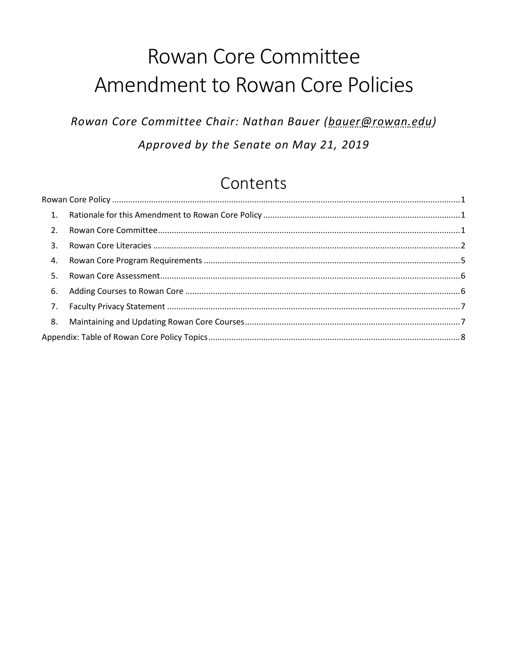# Rowan Core Committee Amendment to Rowan Core Policies

Rowan Core Committee Chair: Nathan Bauer (bauer@rowan.edu) Approved by the Senate on May 21, 2019

## Contents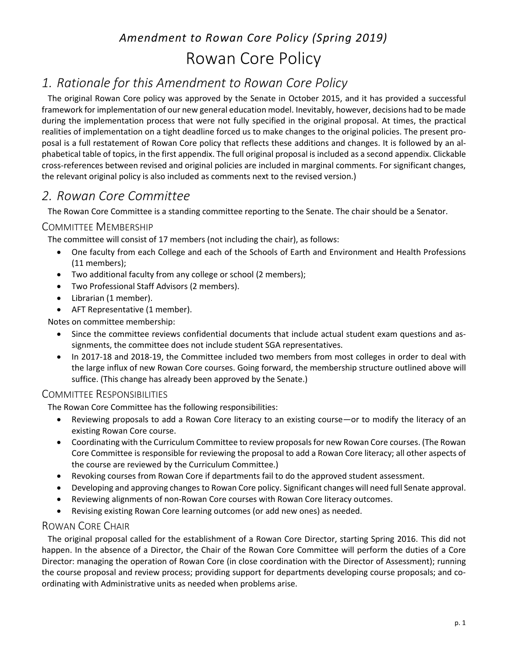## *Amendment to Rowan Core Policy (Spring 2019)* Rowan Core Policy

### <span id="page-1-1"></span><span id="page-1-0"></span>*1. Rationale for this Amendment to Rowan Core Policy*

The original Rowan Core policy was approved by the Senate in October 2015, and it has provided a successful framework for implementation of our new general education model. Inevitably, however, decisions had to be made during the implementation process that were not fully specified in the original proposal. At times, the practical realities of implementation on a tight deadline forced us to make changes to the original policies. The present proposal is a full restatement of Rowan Core policy that reflects these additions and changes. It is followed by an alphabetical table of topics, in the first appendix. The full original proposal is included as a second appendix. Clickable cross-references between revised and original policies are included in marginal comments. For significant changes, the relevant original policy is also included as comments next to the revised version.)

### <span id="page-1-2"></span>*2. Rowan Core Committee*

The Rowan Core Committee is a standing committee reporting to the Senate. The chair should be a Senator.

### <span id="page-1-4"></span>COMMITTEE MEMBERSHIP

The committee will consist of 17 members (not including the chair), as follows:

- One faculty from each College and each of the Schools of Earth and Environment and Health Professions (11 members);
- Two additional faculty from any college or school (2 members);
- Two Professional Staff Advisors (2 members).
- Librarian (1 member).
- AFT Representative (1 member).

Notes on committee membership:

- Since the committee reviews confidential documents that include actual student exam questions and assignments, the committee does not include student SGA representatives.
- In 2017-18 and 2018-19, the Committee included two members from most colleges in order to deal with the large influx of new Rowan Core courses. Going forward, the membership structure outlined above will suffice. (This change has already been approved by the Senate.)

### <span id="page-1-5"></span>COMMITTEE RESPONSIBILITIES

The Rowan Core Committee has the following responsibilities:

- Reviewing proposals to add a Rowan Core literacy to an existing course—or to modify the literacy of an existing Rowan Core course.
- Coordinating with the Curriculum Committee to review proposals for new Rowan Core courses. (The Rowan Core Committee is responsible for reviewing the proposal to add a Rowan Core literacy; all other aspects of the course are reviewed by the Curriculum Committee.)
- Revoking courses from Rowan Core if departments fail to do the approved student assessment.
- Developing and approving changes to Rowan Core policy. Significant changes will need full Senate approval.
- Reviewing alignments of non-Rowan Core courses with Rowan Core literacy outcomes.
- Revising existing Rowan Core learning outcomes (or add new ones) as needed.

### <span id="page-1-3"></span>ROWAN CORE CHAIR

The original proposal called for the establishment of a Rowan Core Director, starting Spring 2016. This did not happen. In the absence of a Director, the Chair of the Rowan Core Committee will perform the duties of a Core Director: managing the operation of Rowan Core (in close coordination with the Director of Assessment); running the course proposal and review process; providing support for departments developing course proposals; and coordinating with Administrative units as needed when problems arise.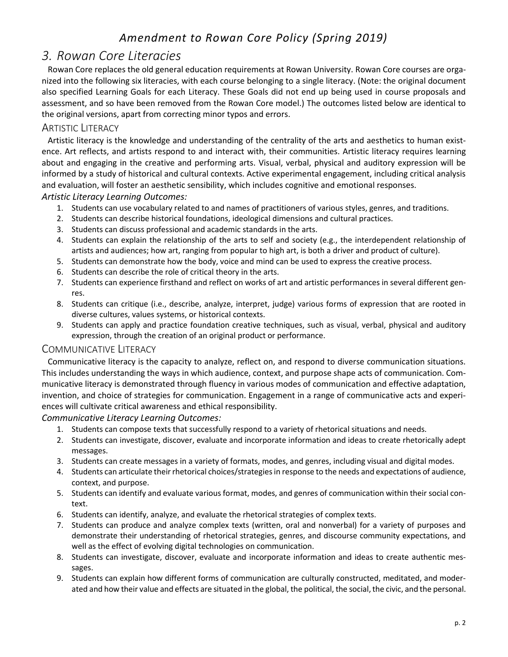### <span id="page-2-0"></span>*3. Rowan Core Literacies*

Rowan Core replaces the old general education requirements at Rowan University. Rowan Core courses are organized into the following six literacies, with each course belonging to a single literacy. (Note: the original document also specified Learning Goals for each Literacy. These Goals did not end up being used in course proposals and assessment, and so have been removed from the Rowan Core model.) The outcomes listed below are identical to the original versions, apart from correcting minor typos and errors.

#### <span id="page-2-1"></span>ARTISTIC LITERACY

Artistic literacy is the knowledge and understanding of the centrality of the arts and aesthetics to human existence. Art reflects, and artists respond to and interact with, their communities. Artistic literacy requires learning about and engaging in the creative and performing arts. Visual, verbal, physical and auditory expression will be informed by a study of historical and cultural contexts. Active experimental engagement, including critical analysis and evaluation, will foster an aesthetic sensibility, which includes cognitive and emotional responses. *Artistic Literacy Learning Outcomes:*

- 1. Students can use vocabulary related to and names of practitioners of various styles, genres, and traditions.
- 2. Students can describe historical foundations, ideological dimensions and cultural practices.
- 3. Students can discuss professional and academic standards in the arts.
- 4. Students can explain the relationship of the arts to self and society (e.g., the interdependent relationship of artists and audiences; how art, ranging from popular to high art, is both a driver and product of culture).
- 5. Students can demonstrate how the body, voice and mind can be used to express the creative process.
- 6. Students can describe the role of critical theory in the arts.
- 7. Students can experience firsthand and reflect on works of art and artistic performances in several different genres.
- 8. Students can critique (i.e., describe, analyze, interpret, judge) various forms of expression that are rooted in diverse cultures, values systems, or historical contexts.
- 9. Students can apply and practice foundation creative techniques, such as visual, verbal, physical and auditory expression, through the creation of an original product or performance.

#### <span id="page-2-2"></span>COMMUNICATIVE LITERACY

Communicative literacy is the capacity to analyze, reflect on, and respond to diverse communication situations. This includes understanding the ways in which audience, context, and purpose shape acts of communication. Communicative literacy is demonstrated through fluency in various modes of communication and effective adaptation, invention, and choice of strategies for communication. Engagement in a range of communicative acts and experiences will cultivate critical awareness and ethical responsibility.

#### *Communicative Literacy Learning Outcomes:*

- 1. Students can compose texts that successfully respond to a variety of rhetorical situations and needs.
- 2. Students can investigate, discover, evaluate and incorporate information and ideas to create rhetorically adept messages.
- 3. Students can create messages in a variety of formats, modes, and genres, including visual and digital modes.
- 4. Students can articulate their rhetorical choices/strategies in response to the needs and expectations of audience, context, and purpose.
- 5. Students can identify and evaluate various format, modes, and genres of communication within their social context.
- 6. Students can identify, analyze, and evaluate the rhetorical strategies of complex texts.
- 7. Students can produce and analyze complex texts (written, oral and nonverbal) for a variety of purposes and demonstrate their understanding of rhetorical strategies, genres, and discourse community expectations, and well as the effect of evolving digital technologies on communication.
- 8. Students can investigate, discover, evaluate and incorporate information and ideas to create authentic messages.
- 9. Students can explain how different forms of communication are culturally constructed, meditated, and moderated and how their value and effects are situated in the global, the political, the social, the civic, and the personal.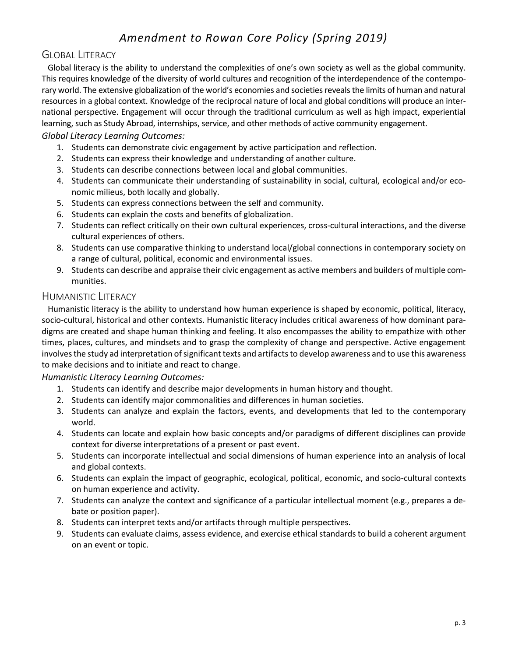### <span id="page-3-0"></span>GLOBAL LITERACY

Global literacy is the ability to understand the complexities of one's own society as well as the global community. This requires knowledge of the diversity of world cultures and recognition of the interdependence of the contemporary world. The extensive globalization of the world's economies and societies reveals the limits of human and natural resources in a global context. Knowledge of the reciprocal nature of local and global conditions will produce an international perspective. Engagement will occur through the traditional curriculum as well as high impact, experiential learning, such as Study Abroad, internships, service, and other methods of active community engagement.

#### *Global Literacy Learning Outcomes:*

- 1. Students can demonstrate civic engagement by active participation and reflection.
- 2. Students can express their knowledge and understanding of another culture.
- 3. Students can describe connections between local and global communities.
- 4. Students can communicate their understanding of sustainability in social, cultural, ecological and/or economic milieus, both locally and globally.
- 5. Students can express connections between the self and community.
- 6. Students can explain the costs and benefits of globalization.
- 7. Students can reflect critically on their own cultural experiences, cross-cultural interactions, and the diverse cultural experiences of others.
- 8. Students can use comparative thinking to understand local/global connections in contemporary society on a range of cultural, political, economic and environmental issues.
- 9. Students can describe and appraise their civic engagement as active members and builders of multiple communities.

#### <span id="page-3-1"></span>HUMANISTIC LITERACY

Humanistic literacy is the ability to understand how human experience is shaped by economic, political, literacy, socio-cultural, historical and other contexts. Humanistic literacy includes critical awareness of how dominant paradigms are created and shape human thinking and feeling. It also encompasses the ability to empathize with other times, places, cultures, and mindsets and to grasp the complexity of change and perspective. Active engagement involves the study ad interpretation of significant texts and artifacts to develop awareness and to use this awareness to make decisions and to initiate and react to change.

#### *Humanistic Literacy Learning Outcomes:*

- 1. Students can identify and describe major developments in human history and thought.
- 2. Students can identify major commonalities and differences in human societies.
- 3. Students can analyze and explain the factors, events, and developments that led to the contemporary world.
- 4. Students can locate and explain how basic concepts and/or paradigms of different disciplines can provide context for diverse interpretations of a present or past event.
- 5. Students can incorporate intellectual and social dimensions of human experience into an analysis of local and global contexts.
- 6. Students can explain the impact of geographic, ecological, political, economic, and socio-cultural contexts on human experience and activity.
- 7. Students can analyze the context and significance of a particular intellectual moment (e.g., prepares a debate or position paper).
- 8. Students can interpret texts and/or artifacts through multiple perspectives.
- 9. Students can evaluate claims, assess evidence, and exercise ethical standards to build a coherent argument on an event or topic.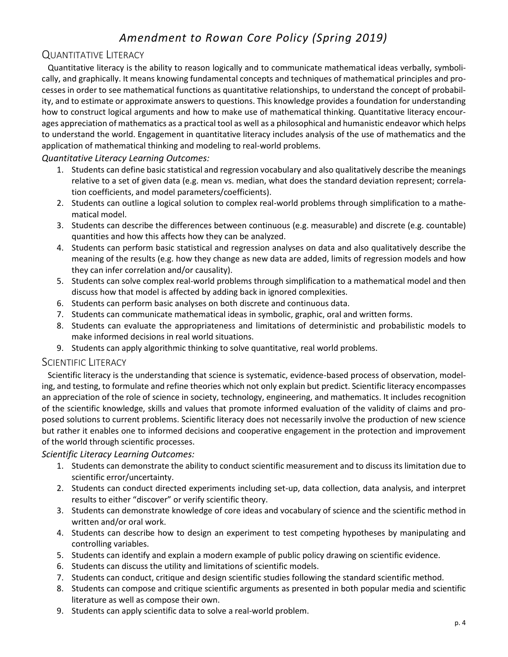### <span id="page-4-0"></span>QUANTITATIVE LITERACY

Quantitative literacy is the ability to reason logically and to communicate mathematical ideas verbally, symbolically, and graphically. It means knowing fundamental concepts and techniques of mathematical principles and processes in order to see mathematical functions as quantitative relationships, to understand the concept of probability, and to estimate or approximate answers to questions. This knowledge provides a foundation for understanding how to construct logical arguments and how to make use of mathematical thinking. Quantitative literacy encourages appreciation of mathematics as a practical tool as well as a philosophical and humanistic endeavor which helps to understand the world. Engagement in quantitative literacy includes analysis of the use of mathematics and the application of mathematical thinking and modeling to real-world problems.

#### *Quantitative Literacy Learning Outcomes:*

- 1. Students can define basic statistical and regression vocabulary and also qualitatively describe the meanings relative to a set of given data (e.g. mean vs. median, what does the standard deviation represent; correlation coefficients, and model parameters/coefficients).
- 2. Students can outline a logical solution to complex real-world problems through simplification to a mathematical model.
- 3. Students can describe the differences between continuous (e.g. measurable) and discrete (e.g. countable) quantities and how this affects how they can be analyzed.
- 4. Students can perform basic statistical and regression analyses on data and also qualitatively describe the meaning of the results (e.g. how they change as new data are added, limits of regression models and how they can infer correlation and/or causality).
- 5. Students can solve complex real-world problems through simplification to a mathematical model and then discuss how that model is affected by adding back in ignored complexities.
- 6. Students can perform basic analyses on both discrete and continuous data.
- 7. Students can communicate mathematical ideas in symbolic, graphic, oral and written forms.
- 8. Students can evaluate the appropriateness and limitations of deterministic and probabilistic models to make informed decisions in real world situations.
- 9. Students can apply algorithmic thinking to solve quantitative, real world problems.

#### <span id="page-4-1"></span>SCIENTIFIC LITERACY

Scientific literacy is the understanding that science is systematic, evidence-based process of observation, modeling, and testing, to formulate and refine theories which not only explain but predict. Scientific literacy encompasses an appreciation of the role of science in society, technology, engineering, and mathematics. It includes recognition of the scientific knowledge, skills and values that promote informed evaluation of the validity of claims and proposed solutions to current problems. Scientific literacy does not necessarily involve the production of new science but rather it enables one to informed decisions and cooperative engagement in the protection and improvement of the world through scientific processes.

#### *Scientific Literacy Learning Outcomes:*

- 1. Students can demonstrate the ability to conduct scientific measurement and to discuss its limitation due to scientific error/uncertainty.
- 2. Students can conduct directed experiments including set-up, data collection, data analysis, and interpret results to either "discover" or verify scientific theory.
- 3. Students can demonstrate knowledge of core ideas and vocabulary of science and the scientific method in written and/or oral work.
- 4. Students can describe how to design an experiment to test competing hypotheses by manipulating and controlling variables.
- 5. Students can identify and explain a modern example of public policy drawing on scientific evidence.
- 6. Students can discuss the utility and limitations of scientific models.
- 7. Students can conduct, critique and design scientific studies following the standard scientific method.
- 8. Students can compose and critique scientific arguments as presented in both popular media and scientific literature as well as compose their own.
- 9. Students can apply scientific data to solve a real-world problem.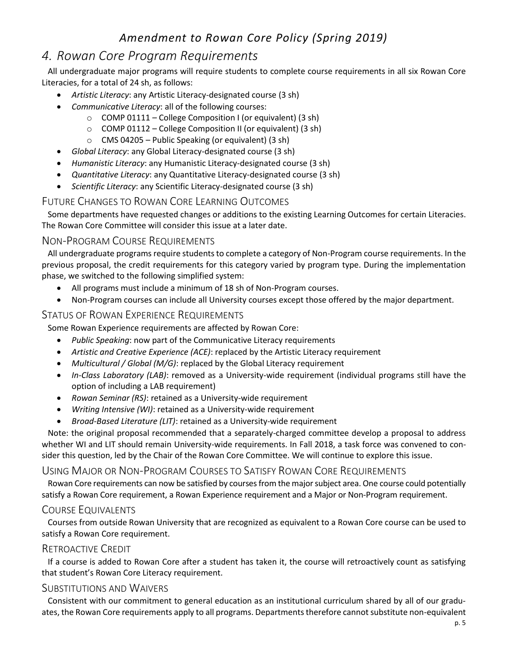### <span id="page-5-0"></span>*4. Rowan Core Program Requirements*

All undergraduate major programs will require students to complete course requirements in all six Rowan Core Literacies, for a total of 24 sh, as follows:

- *Artistic Literacy*: any Artistic Literacy-designated course (3 sh)
- *Communicative Literacy*: all of the following courses:
	- o COMP 01111 College Composition I (or equivalent) (3 sh)
	- o COMP 01112 College Composition II (or equivalent) (3 sh)
	- $\circ$  CMS 04205 Public Speaking (or equivalent) (3 sh)
- *Global Literacy*: any Global Literacy-designated course (3 sh)
- *Humanistic Literacy*: any Humanistic Literacy-designated course (3 sh)
- *Quantitative Literacy*: any Quantitative Literacy-designated course (3 sh)
- *Scientific Literacy*: any Scientific Literacy-designated course (3 sh)

### FUTURE CHANGES TO ROWAN CORE LEARNING OUTCOMES

Some departments have requested changes or additions to the existing Learning Outcomes for certain Literacies. The Rowan Core Committee will consider this issue at a later date.

### <span id="page-5-3"></span>NON-PROGRAM COURSE REQUIREMENTS

All undergraduate programs require students to complete a category of Non-Program course requirements. In the previous proposal, the credit requirements for this category varied by program type. During the implementation phase, we switched to the following simplified system:

- All programs must include a minimum of 18 sh of Non-Program courses.
- Non-Program courses can include all University courses except those offered by the major department.

### <span id="page-5-5"></span>STATUS OF ROWAN EXPERIENCE REQUIREMENTS

Some Rowan Experience requirements are affected by Rowan Core:

- *Public Speaking*: now part of the Communicative Literacy requirements
- *Artistic and Creative Experience (ACE)*: replaced by the Artistic Literacy requirement
- *Multicultural / Global (M/G)*: replaced by the Global Literacy requirement
- *In-Class Laboratory (LAB)*: removed as a University-wide requirement (individual programs still have the option of including a LAB requirement)
- *Rowan Seminar (RS)*: retained as a University-wide requirement
- *Writing Intensive (WI)*: retained as a University-wide requirement
- <span id="page-5-6"></span>*Broad-Based Literature (LIT)*: retained as a University-wide requirement

Note: the original proposal recommended that a separately-charged committee develop a proposal to address whether WI and LIT should remain University-wide requirements. In Fall 2018, a task force was convened to consider this question, led by the Chair of the Rowan Core Committee. We will continue to explore this issue.

### <span id="page-5-2"></span>USING MAJOR OR NON-PROGRAM COURSES TO SATISFY ROWAN CORE REQUIREMENTS

Rowan Core requirements can now be satisfied by courses from the major subject area. One course could potentially satisfy a Rowan Core requirement, a Rowan Experience requirement and a Major or Non-Program requirement.

### <span id="page-5-1"></span>COURSE EQUIVALENTS

Courses from outside Rowan University that are recognized as equivalent to a Rowan Core course can be used to satisfy a Rowan Core requirement.

### <span id="page-5-4"></span>RETROACTIVE CREDIT

If a course is added to Rowan Core after a student has taken it, the course will retroactively count as satisfying that student's Rowan Core Literacy requirement.

### <span id="page-5-7"></span>SUBSTITUTIONS AND WAIVERS

Consistent with our commitment to general education as an institutional curriculum shared by all of our graduates, the Rowan Core requirements apply to all programs. Departments therefore cannot substitute non-equivalent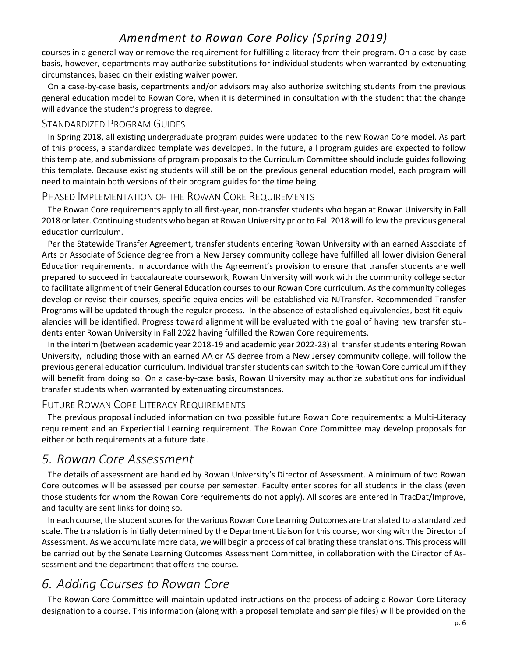courses in a general way or remove the requirement for fulfilling a literacy from their program. On a case-by-case basis, however, departments may authorize substitutions for individual students when warranted by extenuating circumstances, based on their existing waiver power.

On a case-by-case basis, departments and/or advisors may also authorize switching students from the previous general education model to Rowan Core, when it is determined in consultation with the student that the change will advance the student's progress to degree.

#### <span id="page-6-3"></span>STANDARDIZED PROGRAM GUIDES

In Spring 2018, all existing undergraduate program guides were updated to the new Rowan Core model. As part of this process, a standardized template was developed. In the future, all program guides are expected to follow this template, and submissions of program proposals to the Curriculum Committee should include guides following this template. Because existing students will still be on the previous general education model, each program will need to maintain both versions of their program guides for the time being.

#### <span id="page-6-4"></span>PHASED IMPLEMENTATION OF THE ROWAN CORE REQUIREMENTS

The Rowan Core requirements apply to all first-year, non-transfer students who began at Rowan University in Fall 2018 or later. Continuing students who began at Rowan University prior to Fall 2018 will follow the previous general education curriculum.

Per the Statewide Transfer Agreement, transfer students entering Rowan University with an earned Associate of Arts or Associate of Science degree from a New Jersey community college have fulfilled all lower division General Education requirements. In accordance with the Agreement's provision to ensure that transfer students are well prepared to succeed in baccalaureate coursework, Rowan University will work with the community college sector to facilitate alignment of their General Education courses to our Rowan Core curriculum. As the community colleges develop or revise their courses, specific equivalencies will be established via NJTransfer. Recommended Transfer Programs will be updated through the regular process. In the absence of established equivalencies, best fit equivalencies will be identified. Progress toward alignment will be evaluated with the goal of having new transfer students enter Rowan University in Fall 2022 having fulfilled the Rowan Core requirements.

In the interim (between academic year 2018-19 and academic year 2022-23) all transfer students entering Rowan University, including those with an earned AA or AS degree from a New Jersey community college, will follow the previous general education curriculum. Individual transfer students can switch to the Rowan Core curriculum if they will benefit from doing so. On a case-by-case basis, Rowan University may authorize substitutions for individual transfer students when warranted by extenuating circumstances.

#### <span id="page-6-2"></span>FUTURE ROWAN CORE LITERACY REQUIREMENTS

The previous proposal included information on two possible future Rowan Core requirements: a Multi-Literacy requirement and an Experiential Learning requirement. The Rowan Core Committee may develop proposals for either or both requirements at a future date.

### <span id="page-6-0"></span>*5. Rowan Core Assessment*

The details of assessment are handled by Rowan University's Director of Assessment. A minimum of two Rowan Core outcomes will be assessed per course per semester. Faculty enter scores for all students in the class (even those students for whom the Rowan Core requirements do not apply). All scores are entered in TracDat/Improve, and faculty are sent links for doing so.

In each course, the student scores for the various Rowan Core Learning Outcomes are translated to a standardized scale. The translation is initially determined by the Department Liaison for this course, working with the Director of Assessment. As we accumulate more data, we will begin a process of calibrating these translations. This process will be carried out by the Senate Learning Outcomes Assessment Committee, in collaboration with the Director of Assessment and the department that offers the course.

### <span id="page-6-1"></span>*6. Adding Courses to Rowan Core*

The Rowan Core Committee will maintain updated instructions on the process of adding a Rowan Core Literacy designation to a course. This information (along with a proposal template and sample files) will be provided on the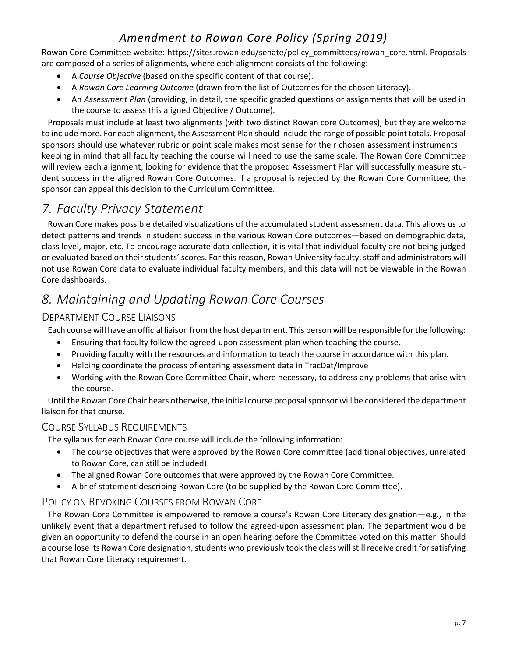Rowan Core Committee website: [https://sites.rowan.edu/senate/policy\\_committees/rowan\\_core.html.](https://sites.rowan.edu/senate/policy_committees/rowan_core.html) Proposals are composed of a series of alignments, where each alignment consists of the following:

- A *Course Objective* (based on the specific content of that course).
- A *Rowan Core Learning Outcome* (drawn from the list of Outcomes for the chosen Literacy).
- An *Assessment Plan* (providing, in detail, the specific graded questions or assignments that will be used in the course to assess this aligned Objective / Outcome).

Proposals must include at least two alignments (with two distinct Rowan core Outcomes), but they are welcome to include more. For each alignment, the Assessment Plan should include the range of possible point totals. Proposal sponsors should use whatever rubric or point scale makes most sense for their chosen assessment instruments keeping in mind that all faculty teaching the course will need to use the same scale. The Rowan Core Committee will review each alignment, looking for evidence that the proposed Assessment Plan will successfully measure student success in the aligned Rowan Core Outcomes. If a proposal is rejected by the Rowan Core Committee, the sponsor can appeal this decision to the Curriculum Committee.

### <span id="page-7-0"></span>*7. Faculty Privacy Statement*

Rowan Core makes possible detailed visualizations of the accumulated student assessment data. This allows us to detect patterns and trends in student success in the various Rowan Core outcomes—based on demographic data, class level, major, etc. To encourage accurate data collection, it is vital that individual faculty are not being judged or evaluated based on their students' scores. For this reason, Rowan University faculty, staff and administrators will not use Rowan Core data to evaluate individual faculty members, and this data will not be viewable in the Rowan Core dashboards.

### <span id="page-7-1"></span>*8. Maintaining and Updating Rowan Core Courses*

### DEPARTMENT COURSE LIAISONS

Each course will have an official liaison from the host department. This person will be responsible for the following:

- Ensuring that faculty follow the agreed-upon assessment plan when teaching the course.
- Providing faculty with the resources and information to teach the course in accordance with this plan.
- Helping coordinate the process of entering assessment data in TracDat/Improve
- Working with the Rowan Core Committee Chair, where necessary, to address any problems that arise with the course.

Until the Rowan Core Chair hears otherwise, the initial course proposal sponsor will be considered the department liaison for that course.

#### <span id="page-7-3"></span>COURSE SYLLABUS REQUIREMENTS

The syllabus for each Rowan Core course will include the following information:

- The course objectives that were approved by the Rowan Core committee (additional objectives, unrelated to Rowan Core, can still be included).
- The aligned Rowan Core outcomes that were approved by the Rowan Core Committee.
- A brief statement describing Rowan Core (to be supplied by the Rowan Core Committee).

### <span id="page-7-2"></span>POLICY ON REVOKING COURSES FROM ROWAN CORE

The Rowan Core Committee is empowered to remove a course's Rowan Core Literacy designation—e.g., in the unlikely event that a department refused to follow the agreed-upon assessment plan. The department would be given an opportunity to defend the course in an open hearing before the Committee voted on this matter. Should a course lose its Rowan Core designation, students who previously took the class will still receive credit for satisfying that Rowan Core Literacy requirement.